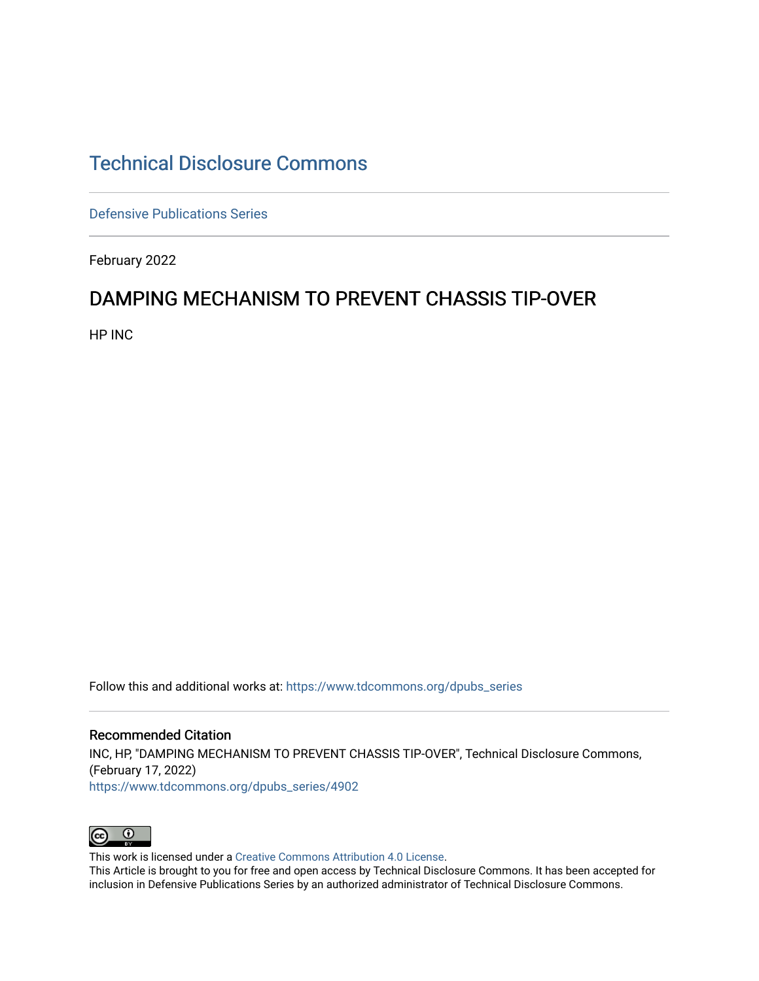## [Technical Disclosure Commons](https://www.tdcommons.org/)

[Defensive Publications Series](https://www.tdcommons.org/dpubs_series)

February 2022

## DAMPING MECHANISM TO PREVENT CHASSIS TIP-OVER

HP INC

Follow this and additional works at: [https://www.tdcommons.org/dpubs\\_series](https://www.tdcommons.org/dpubs_series?utm_source=www.tdcommons.org%2Fdpubs_series%2F4902&utm_medium=PDF&utm_campaign=PDFCoverPages) 

Recommended Citation INC, HP, "DAMPING MECHANISM TO PREVENT CHASSIS TIP-OVER", Technical Disclosure Commons, (February 17, 2022) [https://www.tdcommons.org/dpubs\\_series/4902](https://www.tdcommons.org/dpubs_series/4902?utm_source=www.tdcommons.org%2Fdpubs_series%2F4902&utm_medium=PDF&utm_campaign=PDFCoverPages)



This work is licensed under a [Creative Commons Attribution 4.0 License](http://creativecommons.org/licenses/by/4.0/deed.en_US).

This Article is brought to you for free and open access by Technical Disclosure Commons. It has been accepted for inclusion in Defensive Publications Series by an authorized administrator of Technical Disclosure Commons.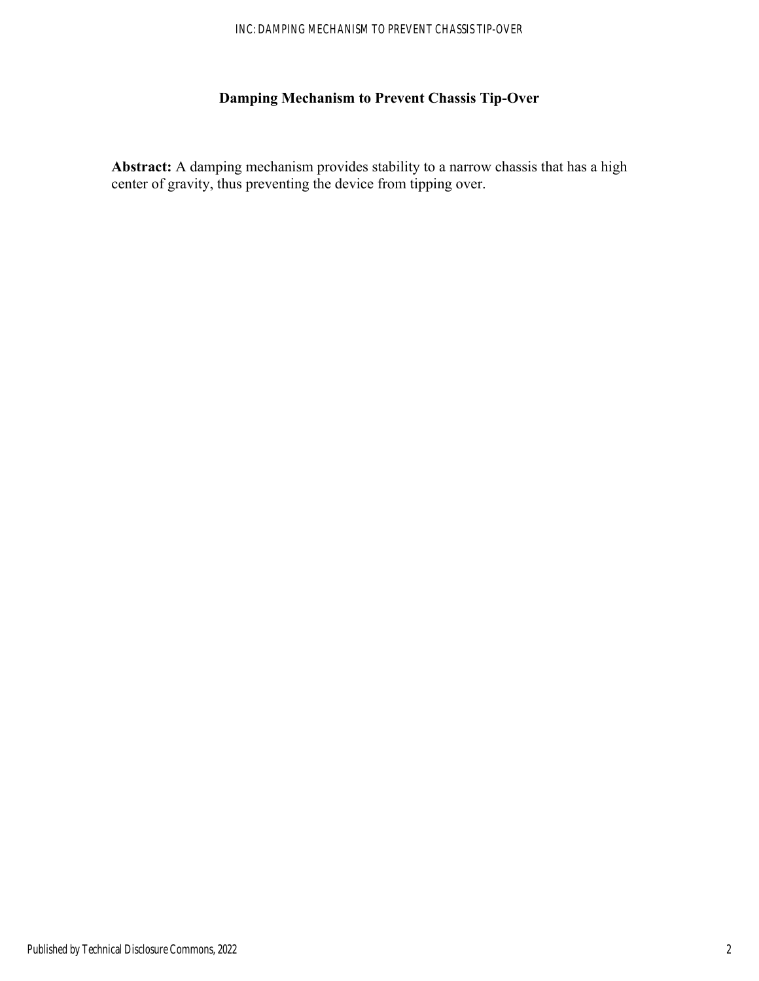## **Damping Mechanism to Prevent Chassis Tip-Over**

**Abstract:** A damping mechanism provides stability to a narrow chassis that has a high center of gravity, thus preventing the device from tipping over.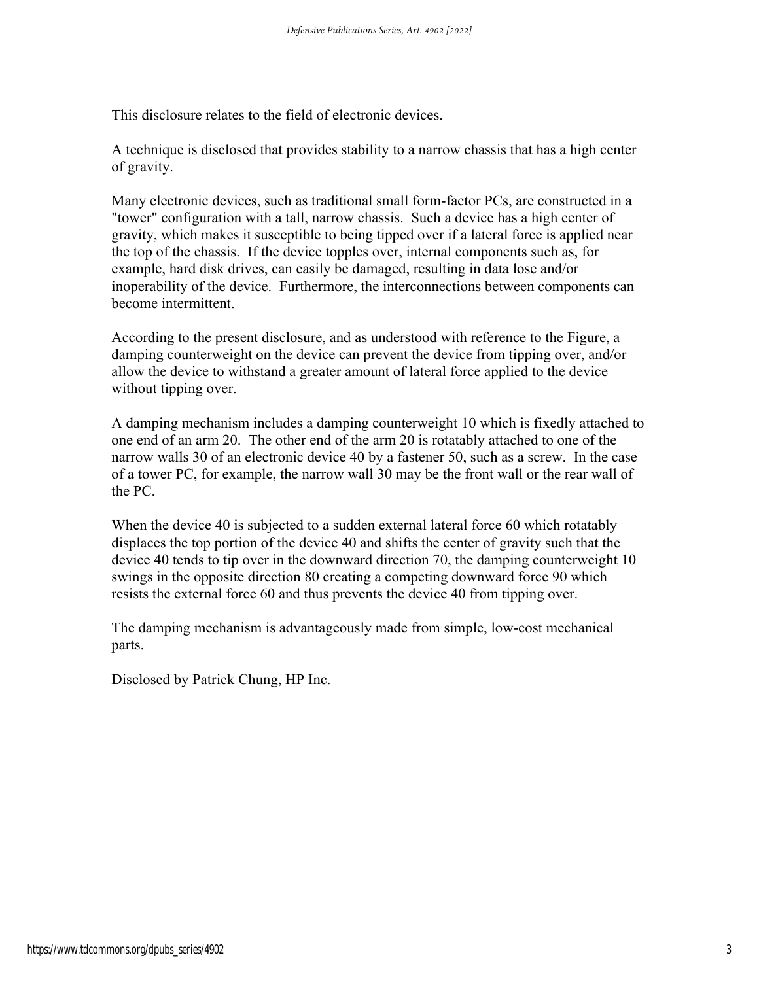This disclosure relates to the field of electronic devices.

A technique is disclosed that provides stability to a narrow chassis that has a high center of gravity.

Many electronic devices, such as traditional small form-factor PCs, are constructed in a "tower" configuration with a tall, narrow chassis. Such a device has a high center of gravity, which makes it susceptible to being tipped over if a lateral force is applied near the top of the chassis. If the device topples over, internal components such as, for example, hard disk drives, can easily be damaged, resulting in data lose and/or inoperability of the device. Furthermore, the interconnections between components can become intermittent.

According to the present disclosure, and as understood with reference to the Figure, a damping counterweight on the device can prevent the device from tipping over, and/or allow the device to withstand a greater amount of lateral force applied to the device without tipping over.

A damping mechanism includes a damping counterweight 10 which is fixedly attached to one end of an arm 20. The other end of the arm 20 is rotatably attached to one of the narrow walls 30 of an electronic device 40 by a fastener 50, such as a screw. In the case of a tower PC, for example, the narrow wall 30 may be the front wall or the rear wall of the PC.

When the device 40 is subjected to a sudden external lateral force 60 which rotatably displaces the top portion of the device 40 and shifts the center of gravity such that the device 40 tends to tip over in the downward direction 70, the damping counterweight 10 swings in the opposite direction 80 creating a competing downward force 90 which resists the external force 60 and thus prevents the device 40 from tipping over.

The damping mechanism is advantageously made from simple, low-cost mechanical parts.

Disclosed by Patrick Chung, HP Inc.